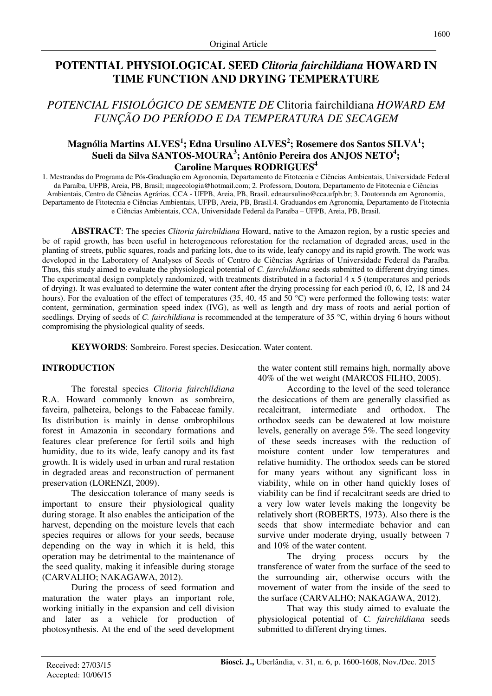# **POTENTIAL PHYSIOLOGICAL SEED** *Clitoria fairchildiana* **HOWARD IN TIME FUNCTION AND DRYING TEMPERATURE**

*POTENCIAL FISIOLÓGICO DE SEMENTE DE* Clitoria fairchildiana *HOWARD EM FUNÇÃO DO PERÍODO E DA TEMPERATURA DE SECAGEM* 

## **Magnólia Martins ALVES<sup>1</sup> ; Edna Ursulino ALVES<sup>2</sup> ; Rosemere dos Santos SILVA<sup>1</sup> ; Sueli da Silva SANTOS-MOURA<sup>3</sup> ; Antônio Pereira dos ANJOS NETO<sup>4</sup> ; Caroline Marques RODRIGUES<sup>4</sup>**

1. Mestrandas do Programa de Pós-Graduação em Agronomia, Departamento de Fitotecnia e Ciências Ambientais, Universidade Federal da Paraíba, UFPB, Areia, PB, Brasil; magecologia@hotmail.com; 2. Professora, Doutora, Departamento de Fitotecnia e Ciências Ambientais, Centro de Ciências Agrárias, CCA - UFPB, Areia, PB, Brasil. ednaursulino@cca.ufpb.br; 3. Doutoranda em Agronomia, Departamento de Fitotecnia e Ciências Ambientais, UFPB, Areia, PB, Brasil.4. Graduandos em Agronomia, Departamento de Fitotecnia e Ciências Ambientais, CCA, Universidade Federal da Paraíba – UFPB, Areia, PB, Brasil.

**ABSTRACT**: The species *Clitoria fairchildiana* Howard, native to the Amazon region, by a rustic species and be of rapid growth, has been useful in heterogeneous reforestation for the reclamation of degraded areas, used in the planting of streets, public squares, roads and parking lots, due to its wide, leafy canopy and its rapid growth. The work was developed in the Laboratory of Analyses of Seeds of Centro de Ciências Agrárias of Universidade Federal da Paraíba. Thus, this study aimed to evaluate the physiological potential of *C. fairchildiana* seeds submitted to different drying times. The experimental design completely randomized, with treatments distributed in a factorial 4 x 5 (temperatures and periods of drying). It was evaluated to determine the water content after the drying processing for each period (0, 6, 12, 18 and 24 hours). For the evaluation of the effect of temperatures (35, 40, 45 and 50 °C) were performed the following tests: water content, germination, germination speed index (IVG), as well as length and dry mass of roots and aerial portion of seedlings. Drying of seeds of *C. fairchildiana* is recommended at the temperature of 35 °C, within drying 6 hours without compromising the physiological quality of seeds.

**KEYWORDS**: Sombreiro. Forest species. Desiccation. Water content.

### **INTRODUCTION**

The forestal species *Clitoria fairchildiana* R.A. Howard commonly known as sombreiro, faveira, palheteira, belongs to the Fabaceae family. Its distribution is mainly in dense ombrophilous forest in Amazonia in secondary formations and features clear preference for fertil soils and high humidity, due to its wide, leafy canopy and its fast growth. It is widely used in urban and rural restation in degraded areas and reconstruction of permanent preservation (LORENZI, 2009).

The desiccation tolerance of many seeds is important to ensure their physiological quality during storage. It also enables the anticipation of the harvest, depending on the moisture levels that each species requires or allows for your seeds, because depending on the way in which it is held, this operation may be detrimental to the maintenance of the seed quality, making it infeasible during storage (CARVALHO; NAKAGAWA, 2012).

During the process of seed formation and maturation the water plays an important role, working initially in the expansion and cell division and later as a vehicle for production of photosynthesis. At the end of the seed development the water content still remains high, normally above 40% of the wet weight (MARCOS FILHO, 2005).

According to the level of the seed tolerance the desiccations of them are generally classified as recalcitrant, intermediate and orthodox. The orthodox seeds can be dewatered at low moisture levels, generally on average 5%. The seed longevity of these seeds increases with the reduction of moisture content under low temperatures and relative humidity. The orthodox seeds can be stored for many years without any significant loss in viability, while on in other hand quickly loses of viability can be find if recalcitrant seeds are dried to a very low water levels making the longevity be relatively short (ROBERTS, 1973). Also there is the seeds that show intermediate behavior and can survive under moderate drying, usually between 7 and 10% of the water content.

The drying process occurs by the transference of water from the surface of the seed to the surrounding air, otherwise occurs with the movement of water from the inside of the seed to the surface (CARVALHO; NAKAGAWA, 2012).

That way this study aimed to evaluate the physiological potential of *C. fairchildiana* seeds submitted to different drying times.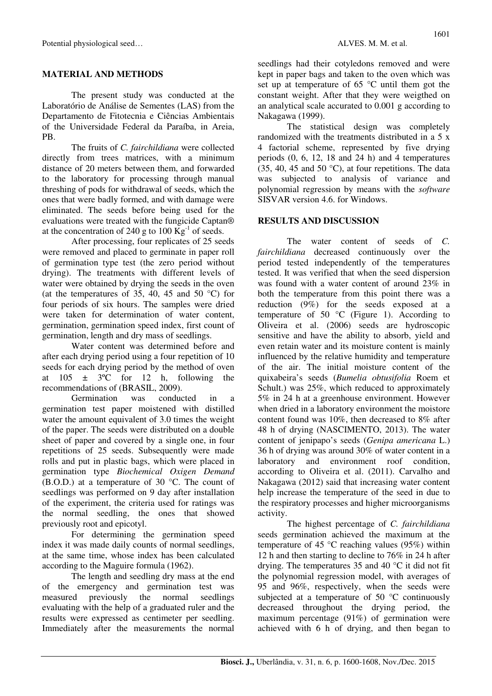### **MATERIAL AND METHODS**

The present study was conducted at the Laboratório de Análise de Sementes (LAS) from the Departamento de Fitotecnia e Ciências Ambientais of the Universidade Federal da Paraíba, in Areia, PB.

The fruits of *C. fairchildiana* were collected directly from trees matrices, with a minimum distance of 20 meters between them, and forwarded to the laboratory for processing through manual threshing of pods for withdrawal of seeds, which the ones that were badly formed, and with damage were eliminated. The seeds before being used for the evaluations were treated with the fungicide Captan® at the concentration of 240 g to 100  $\text{Kg}^{-1}$  of seeds.

After processing, four replicates of 25 seeds were removed and placed to germinate in paper roll of germination type test (the zero period without drying). The treatments with different levels of water were obtained by drying the seeds in the oven (at the temperatures of 35, 40, 45 and 50  $^{\circ}$ C) for four periods of six hours. The samples were dried were taken for determination of water content, germination, germination speed index, first count of germination, length and dry mass of seedlings.

Water content was determined before and after each drying period using a four repetition of 10 seeds for each drying period by the method of oven at  $105 \pm 3$ °C for 12 h, following the recommendations of (BRASIL, 2009).

Germination was conducted in a germination test paper moistened with distilled water the amount equivalent of 3.0 times the weight of the paper. The seeds were distributed on a double sheet of paper and covered by a single one, in four repetitions of 25 seeds. Subsequently were made rolls and put in plastic bags, which were placed in germination type *Biochemical Oxigen Demand*  (B.O.D.) at a temperature of 30 °C. The count of seedlings was performed on 9 day after installation of the experiment, the criteria used for ratings was the normal seedling, the ones that showed previously root and epicotyl.

For determining the germination speed index it was made daily counts of normal seedlings, at the same time, whose index has been calculated according to the Maguire formula (1962).

The length and seedling dry mass at the end of the emergency and germination test was measured previously the normal seedlings evaluating with the help of a graduated ruler and the results were expressed as centimeter per seedling. Immediately after the measurements the normal Nakagawa (1999). The statistical design was completely randomized with the treatments distributed in a 5 x 4 factorial scheme, represented by five drying periods  $(0, 6, 12, 18, 24, h)$  and 4 temperatures  $(35, 40, 45, 40)$  °C), at four repetitions. The data was subjected to analysis of variance and polynomial regression by means with the *software* SISVAR version 4.6. for Windows.

### **RESULTS AND DISCUSSION**

The water content of seeds of *C. fairchildiana* decreased continuously over the period tested independently of the temperatures tested. It was verified that when the seed dispersion was found with a water content of around 23% in both the temperature from this point there was a reduction (9%) for the seeds exposed at a temperature of 50  $\degree$ C (Figure 1). According to Oliveira et al. (2006) seeds are hydroscopic sensitive and have the ability to absorb, yield and even retain water and its moisture content is mainly influenced by the relative humidity and temperature of the air. The initial moisture content of the quixabeira's seeds (*Bumelia obtusifolia* Roem et Schult.) was 25%, which reduced to approximately 5% in 24 h at a greenhouse environment. However when dried in a laboratory environment the moistore content found was 10%, then decreased to 8% after 48 h of drying (NASCIMENTO, 2013). The water content of jenipapo's seeds (*Genipa americana* L.) 36 h of drying was around 30% of water content in a laboratory and environment roof condition, according to Oliveira et al. (2011). Carvalho and Nakagawa (2012) said that increasing water content help increase the temperature of the seed in due to the respiratory processes and higher microorganisms activity.

The highest percentage of *C. fairchildiana* seeds germination achieved the maximum at the temperature of 45 °C reaching values (95%) within 12 h and then starting to decline to 76% in 24 h after drying. The temperatures 35 and 40 °C it did not fit the polynomial regression model, with averages of 95 and 96%, respectively, when the seeds were subjected at a temperature of 50 °C continuously decreased throughout the drying period, the maximum percentage (91%) of germination were achieved with 6 h of drying, and then began to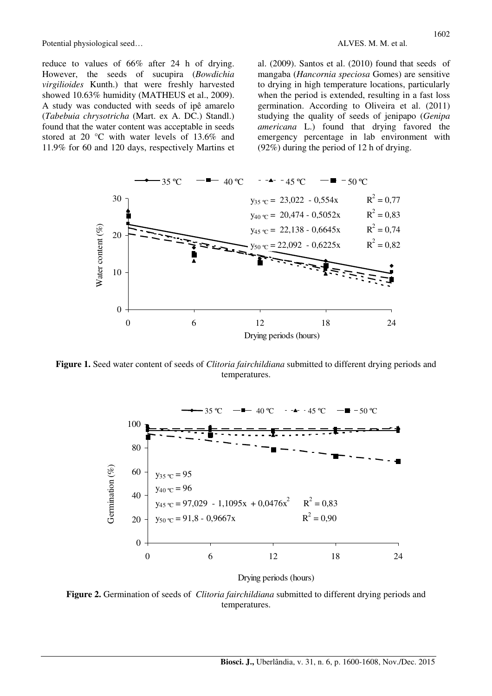reduce to values of 66% after 24 h of drying. However, the seeds of sucupira (*Bowdichia virgilioides* Kunth.) that were freshly harvested showed 10.63% humidity (MATHEUS et al., 2009). A study was conducted with seeds of ipê amarelo (*Tabebuia chrysotricha* (Mart. ex A. DC.) Standl.) found that the water content was acceptable in seeds stored at 20 °C with water levels of 13.6% and 11.9% for 60 and 120 days, respectively Martins et al. (2009). Santos et al. (2010) found that seeds of mangaba (*Hancornia speciosa* Gomes) are sensitive to drying in high temperature locations, particularly when the period is extended, resulting in a fast loss germination. According to Oliveira et al. (2011) studying the quality of seeds of jenipapo (*Genipa americana* L.) found that drying favored the emergency percentage in lab environment with (92%) during the period of 12 h of drying.



**Figure 1.** Seed water content of seeds of *Clitoria fairchildiana* submitted to different drying periods and temperatures.



Drying periods (hours)

**Figure 2.** Germination of seeds of *Clitoria fairchildiana* submitted to different drying periods and temperatures.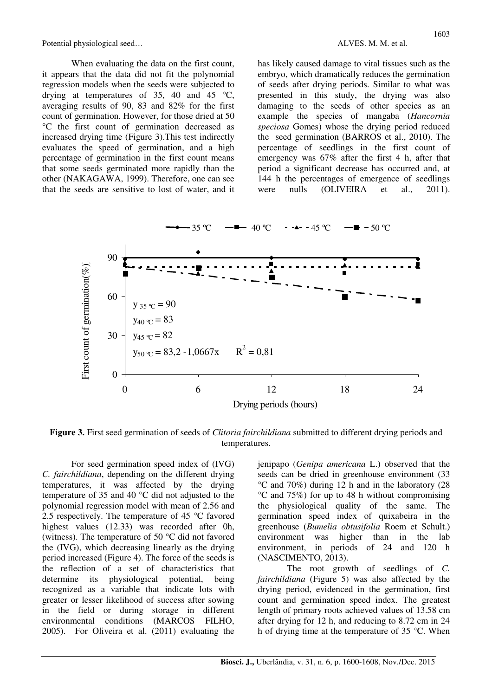When evaluating the data on the first count, it appears that the data did not fit the polynomial regression models when the seeds were subjected to drying at temperatures of 35, 40 and 45  $\degree$ C, averaging results of 90, 83 and 82% for the first count of germination. However, for those dried at 50 °C the first count of germination decreased as increased drying time (Figure 3).This test indirectly evaluates the speed of germination, and a high percentage of germination in the first count means that some seeds germinated more rapidly than the other (NAKAGAWA, 1999). Therefore, one can see that the seeds are sensitive to lost of water, and it has likely caused damage to vital tissues such as the embryo, which dramatically reduces the germination of seeds after drying periods. Similar to what was presented in this study, the drying was also damaging to the seeds of other species as an example the species of mangaba (*Hancornia speciosa* Gomes) whose the drying period reduced the seed germination (BARROS et al., 2010). The percentage of seedlings in the first count of emergency was 67% after the first 4 h, after that period a significant decrease has occurred and, at 144 h the percentages of emergence of seedlings were nulls (OLIVEIRA et al., 2011).



**Figure 3.** First seed germination of seeds of *Clitoria fairchildiana* submitted to different drying periods and temperatures.

For seed germination speed index of (IVG) *C. fairchildiana*, depending on the different drying temperatures, it was affected by the drying temperature of 35 and 40 °C did not adjusted to the polynomial regression model with mean of 2.56 and 2.5 respectively. The temperature of 45 °C favored highest values (12.33) was recorded after 0h, (witness). The temperature of 50 °C did not favored the (IVG), which decreasing linearly as the drying period increased (Figure 4). The force of the seeds is the reflection of a set of characteristics that determine its physiological potential, being recognized as a variable that indicate lots with greater or lesser likelihood of success after sowing in the field or during storage in different environmental conditions (MARCOS FILHO, 2005). For Oliveira et al. (2011) evaluating the jenipapo (*Genipa americana* L.) observed that the seeds can be dried in greenhouse environment (33 °C and 70%) during 12 h and in the laboratory (28 °C and 75%) for up to 48 h without compromising the physiological quality of the same. The germination speed index of quixabeira in the greenhouse (*Bumelia obtusifolia* Roem et Schult.) environment was higher than in the lab environment, in periods of 24 and 120 h (NASCIMENTO, 2013).

The root growth of seedlings of *C. fairchildiana* (Figure 5) was also affected by the drying period, evidenced in the germination, first count and germination speed index. The greatest length of primary roots achieved values of 13.58 cm after drying for 12 h, and reducing to 8.72 cm in 24 h of drying time at the temperature of 35 °C. When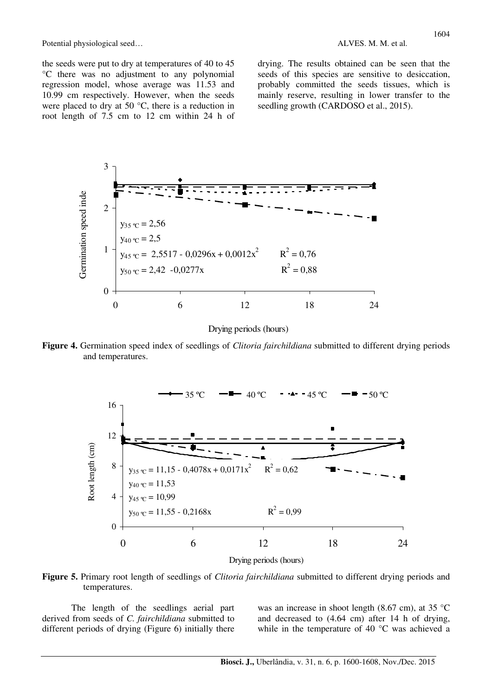the seeds were put to dry at temperatures of 40 to 45 °C there was no adjustment to any polynomial regression model, whose average was 11.53 and 10.99 cm respectively. However, when the seeds were placed to dry at 50 °C, there is a reduction in root length of 7.5 cm to 12 cm within 24 h of

drying. The results obtained can be seen that the

seeds of this species are sensitive to desiccation, probably committed the seeds tissues, which is mainly reserve, resulting in lower transfer to the seedling growth (CARDOSO et al., 2015).



Drying periods (hours)

**Figure 4.** Germination speed index of seedlings of *Clitoria fairchildiana* submitted to different drying periods and temperatures.



**Figure 5.** Primary root length of seedlings of *Clitoria fairchildiana* submitted to different drying periods and temperatures.

The length of the seedlings aerial part derived from seeds of *C. fairchildiana* submitted to different periods of drying (Figure 6) initially there

was an increase in shoot length (8.67 cm), at 35 °C and decreased to (4.64 cm) after 14 h of drying, while in the temperature of 40 °C was achieved a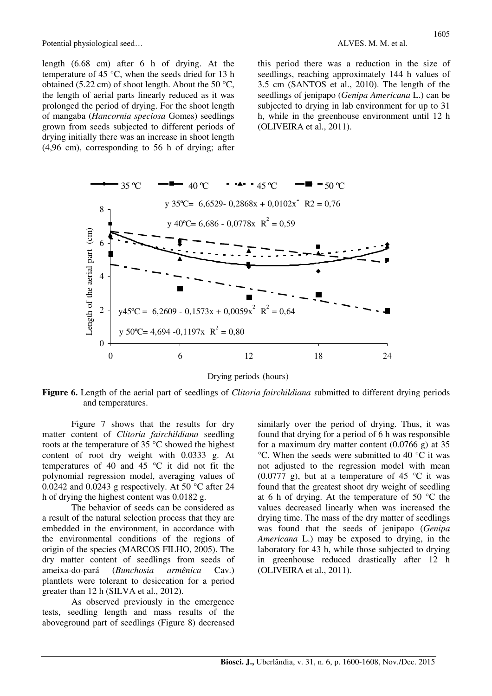length (6.68 cm) after 6 h of drying. At the temperature of 45 °C, when the seeds dried for 13 h obtained (5.22 cm) of shoot length. About the 50 °C, the length of aerial parts linearly reduced as it was prolonged the period of drying. For the shoot length of mangaba (*Hancornia speciosa* Gomes) seedlings grown from seeds subjected to different periods of drying initially there was an increase in shoot length (4,96 cm), corresponding to 56 h of drying; after this period there was a reduction in the size of seedlings, reaching approximately 144 h values of 3.5 cm (SANTOS et al., 2010). The length of the seedlings of jenipapo (*Genipa Americana* L.) can be subjected to drying in lab environment for up to 31 h, while in the greenhouse environment until 12 h (OLIVEIRA et al., 2011).



Drying periods (hours)

**Figure 6.** Length of the aerial part of seedlings of *Clitoria fairchildiana s*ubmitted to different drying periods and temperatures.

Figure 7 shows that the results for dry matter content of *Clitoria fairchildiana* seedling roots at the temperature of 35 °C showed the highest content of root dry weight with 0.0333 g. At temperatures of 40 and 45 °C it did not fit the polynomial regression model, averaging values of 0.0242 and 0.0243 g respectively. At 50  $^{\circ}$ C after 24 h of drying the highest content was 0.0182 g.

The behavior of seeds can be considered as a result of the natural selection process that they are embedded in the environment, in accordance with the environmental conditions of the regions of origin of the species (MARCOS FILHO, 2005). The dry matter content of seedlings from seeds of ameixa-do-pará (*Bunchosia armênica* Cav.) plantlets were tolerant to desiccation for a period greater than 12 h (SILVA et al., 2012).

As observed previously in the emergence tests, seedling length and mass results of the aboveground part of seedlings (Figure 8) decreased similarly over the period of drying. Thus, it was found that drying for a period of 6 h was responsible for a maximum dry matter content (0.0766 g) at 35 °C. When the seeds were submitted to 40 °C it was not adjusted to the regression model with mean  $(0.0777 \text{ g})$ , but at a temperature of 45 °C it was found that the greatest shoot dry weight of seedling at 6 h of drying. At the temperature of 50 °C the values decreased linearly when was increased the drying time. The mass of the dry matter of seedlings was found that the seeds of jenipapo (*Genipa Americana* L.) may be exposed to drying, in the laboratory for 43 h, while those subjected to drying in greenhouse reduced drastically after 12 h (OLIVEIRA et al., 2011).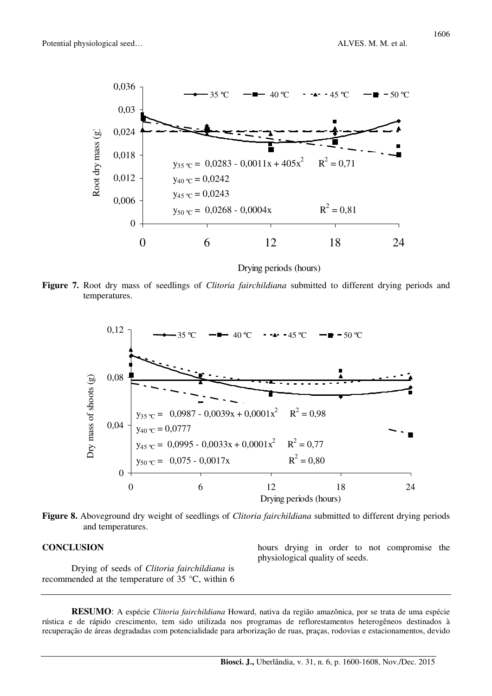

Drying periods (hours)

**Figure 7.** Root dry mass of seedlings of *Clitoria fairchildiana* submitted to different drying periods and temperatures.



**Figure 8.** Aboveground dry weight of seedlings of *Clitoria fairchildiana* submitted to different drying periods and temperatures.

#### **CONCLUSION**

Drying of seeds of *Clitoria fairchildiana* is recommended at the temperature of 35 °C, within 6

hours drying in order to not compromise the physiological quality of seeds.

**RESUMO**: A espécie *Clitoria fairchildiana* Howard, nativa da região amazônica, por se trata de uma espécie rústica e de rápido crescimento, tem sido utilizada nos programas de reflorestamentos heterogêneos destinados à recuperação de áreas degradadas com potencialidade para arborização de ruas, praças, rodovias e estacionamentos, devido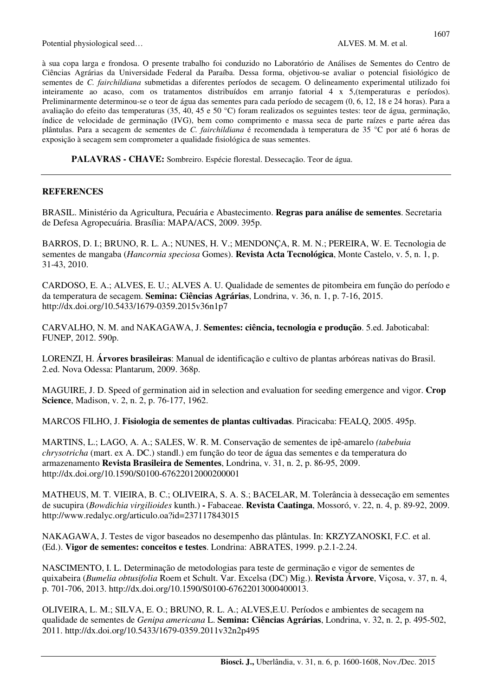à sua copa larga e frondosa. O presente trabalho foi conduzido no Laboratório de Análises de Sementes do Centro de Ciências Agrárias da Universidade Federal da Paraíba. Dessa forma, objetivou-se avaliar o potencial fisiológico de sementes de *C. fairchildiana* submetidas a diferentes períodos de secagem. O delineamento experimental utilizado foi inteiramente ao acaso, com os tratamentos distribuídos em arranjo fatorial 4 x 5,(temperaturas e períodos). Preliminarmente determinou-se o teor de água das sementes para cada período de secagem (0, 6, 12, 18 e 24 horas). Para a avaliação do efeito das temperaturas (35, 40, 45 e 50 °C) foram realizados os seguintes testes: teor de água, germinação, índice de velocidade de germinação (IVG), bem como comprimento e massa seca de parte raízes e parte aérea das plântulas. Para a secagem de sementes de *C. fairchildiana* é recomendada à temperatura de 35 °C por até 6 horas de exposição à secagem sem comprometer a qualidade fisiológica de suas sementes.

**PALAVRAS - CHAVE:** Sombreiro. Espécie florestal. Dessecação. Teor de água.

#### **REFERENCES**

BRASIL. Ministério da Agricultura, Pecuária e Abastecimento. **Regras para análise de sementes**. Secretaria de Defesa Agropecuária. Brasília: MAPA/ACS, 2009. 395p.

BARROS, D. I.; BRUNO, R. L. A.; NUNES, H. V.; MENDONÇA, R. M. N.; PEREIRA, W. E. Tecnologia de sementes de mangaba (*Hancornia speciosa* Gomes). **Revista Acta Tecnológica**, Monte Castelo, v. 5, n. 1, p. 31-43, 2010.

CARDOSO, E. A.; ALVES, E. U.; ALVES A. U. Qualidade de sementes de pitombeira em função do período e da temperatura de secagem. **Semina: Ciências Agrárias**, Londrina, v. 36, n. 1, p. 7-16, 2015. http://dx.doi.org/10.5433/1679-0359.2015v36n1p7

CARVALHO, N. M. and NAKAGAWA, J. **Sementes: ciência, tecnologia e produção**. 5.ed. Jaboticabal: FUNEP, 2012. 590p.

LORENZI, H. **Árvores brasileiras**: Manual de identificação e cultivo de plantas arbóreas nativas do Brasil. 2.ed. Nova Odessa: Plantarum, 2009. 368p.

MAGUIRE, J. D. Speed of germination aid in selection and evaluation for seeding emergence and vigor. **Crop Science**, Madison, v. 2, n. 2, p. 76-177, 1962.

MARCOS FILHO, J. **Fisiologia de sementes de plantas cultivadas**. Piracicaba: FEALQ, 2005. 495p.

MARTINS, L.; LAGO, A. A.; SALES, W. R. M. Conservação de sementes de ipê-amarelo *(tabebuia chrysotricha* (mart. ex A. DC.) standl.) em função do teor de água das sementes e da temperatura do armazenamento **Revista Brasileira de Sementes**, Londrina, v. 31, n. 2, p. 86-95, 2009. http://dx.doi.org/10.1590/S0100-67622012000200001

MATHEUS, M. T. VIEIRA, B. C.; OLIVEIRA, S. A. S.; BACELAR, M. Tolerância à dessecação em sementes de sucupira (*Bowdichia virgilioides* kunth.) **-** Fabaceae. **Revista Caatinga**, Mossoró, v. 22, n. 4, p. 89-92, 2009. http://www.redalyc.org/articulo.oa?id=237117843015

NAKAGAWA, J. Testes de vigor baseados no desempenho das plântulas. In: KRZYZANOSKI, F.C. et al. (Ed.). **Vigor de sementes: conceitos e testes**. Londrina: ABRATES, 1999. p.2.1-2.24.

NASCIMENTO, I. L. Determinação de metodologias para teste de germinação e vigor de sementes de quixabeira (*Bumelia obtusifolia* Roem et Schult. Var. Excelsa (DC) Mig.). **Revista Árvore**, Viçosa, v. 37, n. 4, p. 701-706, 2013. http://dx.doi.org/10.1590/S0100-67622013000400013.

OLIVEIRA, L. M.; SILVA, E. O.; BRUNO, R. L. A.; ALVES,E.U. Períodos e ambientes de secagem na qualidade de sementes de *Genipa americana* L. **Semina: Ciências Agrárias**, Londrina, v. 32, n. 2, p. 495-502, 2011. http://dx.doi.org/10.5433/1679-0359.2011v32n2p495